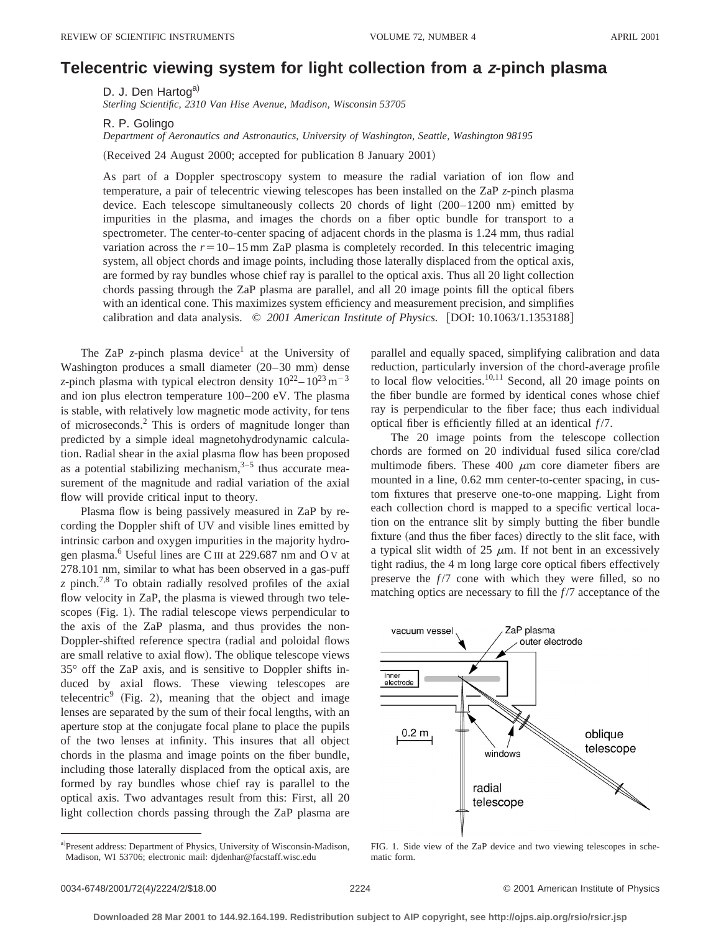## **Telecentric viewing system for light collection from a <sup>z</sup>-pinch plasma**

D. J. Den Hartog<sup>a)</sup>

*Sterling Scientific, 2310 Van Hise Avenue, Madison, Wisconsin 53705*

R. P. Golingo

*Department of Aeronautics and Astronautics, University of Washington, Seattle, Washington 98195*

(Received 24 August 2000; accepted for publication 8 January 2001)

As part of a Doppler spectroscopy system to measure the radial variation of ion flow and temperature, a pair of telecentric viewing telescopes has been installed on the ZaP *z*-pinch plasma device. Each telescope simultaneously collects  $20$  chords of light  $(200-1200 \text{ nm})$  emitted by impurities in the plasma, and images the chords on a fiber optic bundle for transport to a spectrometer. The center-to-center spacing of adjacent chords in the plasma is 1.24 mm, thus radial variation across the  $r=10-15$  mm ZaP plasma is completely recorded. In this telecentric imaging system, all object chords and image points, including those laterally displaced from the optical axis, are formed by ray bundles whose chief ray is parallel to the optical axis. Thus all 20 light collection chords passing through the ZaP plasma are parallel, and all 20 image points fill the optical fibers with an identical cone. This maximizes system efficiency and measurement precision, and simplifies calibration and data analysis. © 2001 American Institute of Physics. [DOI: 10.1063/1.1353188]

The ZaP *z*-pinch plasma device<sup>1</sup> at the University of Washington produces a small diameter  $(20-30 \text{ mm})$  dense *z*-pinch plasma with typical electron density  $10^{22} - 10^{23}$  m<sup>-3</sup> and ion plus electron temperature 100–200 eV. The plasma is stable, with relatively low magnetic mode activity, for tens of microseconds.2 This is orders of magnitude longer than predicted by a simple ideal magnetohydrodynamic calculation. Radial shear in the axial plasma flow has been proposed as a potential stabilizing mechanism, $3-5$  thus accurate measurement of the magnitude and radial variation of the axial flow will provide critical input to theory.

Plasma flow is being passively measured in ZaP by recording the Doppler shift of UV and visible lines emitted by intrinsic carbon and oxygen impurities in the majority hydrogen plasma.6 Useful lines are C III at 229.687 nm and O <sup>V</sup> at 278.101 nm, similar to what has been observed in a gas-puff  $z$  pinch.<sup>7,8</sup> To obtain radially resolved profiles of the axial flow velocity in ZaP, the plasma is viewed through two telescopes (Fig. 1). The radial telescope views perpendicular to the axis of the ZaP plasma, and thus provides the non-Doppler-shifted reference spectra (radial and poloidal flows are small relative to axial flow). The oblique telescope views 35° off the ZaP axis, and is sensitive to Doppler shifts induced by axial flows. These viewing telescopes are telecentric<sup>9</sup> (Fig. 2), meaning that the object and image lenses are separated by the sum of their focal lengths, with an aperture stop at the conjugate focal plane to place the pupils of the two lenses at infinity. This insures that all object chords in the plasma and image points on the fiber bundle, including those laterally displaced from the optical axis, are formed by ray bundles whose chief ray is parallel to the optical axis. Two advantages result from this: First, all 20 light collection chords passing through the ZaP plasma are parallel and equally spaced, simplifying calibration and data reduction, particularly inversion of the chord-average profile to local flow velocities. $10,11$  Second, all 20 image points on the fiber bundle are formed by identical cones whose chief ray is perpendicular to the fiber face; thus each individual optical fiber is efficiently filled at an identical *f* /7.

The 20 image points from the telescope collection chords are formed on 20 individual fused silica core/clad multimode fibers. These 400  $\mu$ m core diameter fibers are mounted in a line, 0.62 mm center-to-center spacing, in custom fixtures that preserve one-to-one mapping. Light from each collection chord is mapped to a specific vertical location on the entrance slit by simply butting the fiber bundle fixture (and thus the fiber faces) directly to the slit face, with a typical slit width of 25  $\mu$ m. If not bent in an excessively tight radius, the 4 m long large core optical fibers effectively preserve the  $f/7$  cone with which they were filled, so no matching optics are necessary to fill the  $f/7$  acceptance of the



FIG. 1. Side view of the ZaP device and two viewing telescopes in schematic form.

a)Present address: Department of Physics, University of Wisconsin-Madison, Madison, WI 53706; electronic mail: djdenhar@facstaff.wisc.edu